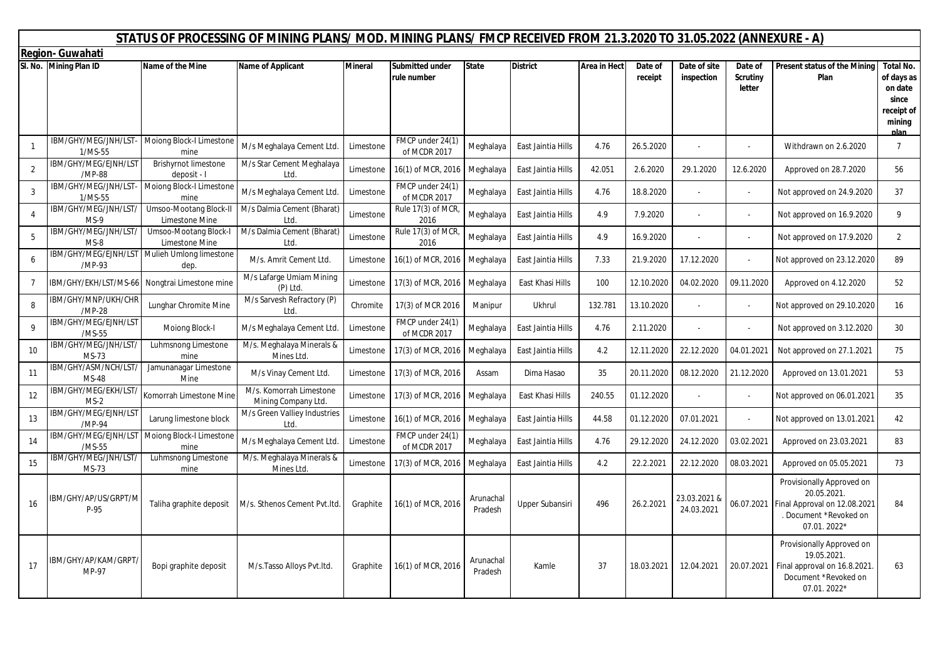|                | STATUS OF PROCESSING OF MINING PLANS/ MOD. MINING PLANS/ FMCP RECEIVED FROM 21.3.2020 TO 31.05.2022 (ANNEXURE - A) |                                                |                                                |                |                                       |                      |                    |                     |                    |                            |                                      |                                                                                                                 |                                                                                    |
|----------------|--------------------------------------------------------------------------------------------------------------------|------------------------------------------------|------------------------------------------------|----------------|---------------------------------------|----------------------|--------------------|---------------------|--------------------|----------------------------|--------------------------------------|-----------------------------------------------------------------------------------------------------------------|------------------------------------------------------------------------------------|
|                | <b>Region-Guwahati</b><br>SI. No. Mining Plan ID                                                                   | Name of the Mine                               | <b>Name of Applicant</b>                       | <b>Mineral</b> | <b>Submitted under</b><br>rule number | <b>State</b>         | <b>District</b>    | <b>Area in Hect</b> | Date of<br>receipt | Date of site<br>inspection | Date of<br><b>Scrutiny</b><br>letter | Present status of the Mining<br>Plan                                                                            | <b>Total No.</b><br>of days as<br>on date<br>since<br>receipt of<br>mining<br>nlan |
| $\overline{1}$ | IBM/GHY/MEG/JNH/LST<br>1/MS-55                                                                                     | Moiong Block-I Limestone<br>mine               | M/s Meghalaya Cement Ltd.                      | Limestone      | FMCP under 24(1)<br>of MCDR 2017      | Meghalaya            | East Jaintia Hills | 4.76                | 26.5.2020          |                            |                                      | Withdrawn on 2.6.2020                                                                                           | $\overline{7}$                                                                     |
| $\overline{2}$ | IBM/GHY/MEG/EJNH/LST<br>/MP-88                                                                                     | <b>Brishyrnot limestone</b><br>deposit - I     | M/s Star Cement Meghalaya<br>Ltd.              | Limestone      | 16(1) of MCR, 2016                    | Meghalaya            | East Jaintia Hills | 42.051              | 2.6.2020           | 29.1.2020                  | 12.6.2020                            | Approved on 28.7.2020                                                                                           | 56                                                                                 |
| $\overline{3}$ | IBM/GHY/MEG/JNH/LST<br>$1/MS-55$                                                                                   | Moiong Block-I Limestone<br>mine               | M/s Meghalaya Cement Ltd.                      | Limestone      | FMCP under 24(1)<br>of MCDR 2017      | Meghalaya            | East Jaintia Hills | 4.76                | 18.8.2020          |                            |                                      | Not approved on 24.9.2020                                                                                       | 37                                                                                 |
| 4              | IBM/GHY/MEG/JNH/LST.<br>$MS-9$                                                                                     | Umsoo-Mootang Block-II<br>Limestone Mine       | M/s Dalmia Cement (Bharat)<br>Ltd.             | Limestone      | Rule 17(3) of MCR,<br>2016            | Meghalaya            | East Jaintia Hills | 4.9                 | 7.9.2020           |                            |                                      | Not approved on 16.9.2020                                                                                       | 9                                                                                  |
| -5             | IBM/GHY/MEG/JNH/LST.<br>$MS-8$                                                                                     | <b>Umsoo-Mootang Block-I</b><br>Limestone Mine | M/s Dalmia Cement (Bharat)<br>Ltd.             | Limestone      | Rule 17(3) of MCR,<br>2016            | Meghalaya            | East Jaintia Hills | 4.9                 | 16.9.2020          |                            |                                      | Not approved on 17.9.2020                                                                                       | 2                                                                                  |
| 6              | IBM/GHY/MEG/EJNH/LST<br>/MP-93                                                                                     | Mulieh Umlong limestone<br>dep.                | M/s. Amrit Cement Ltd                          | Limestone      | 16(1) of MCR, 2016                    | Meghalaya            | East Jaintia Hills | 7.33                | 21.9.2020          | 17.12.2020                 |                                      | Not approved on 23.12.2020                                                                                      | 89                                                                                 |
| $\overline{7}$ | IBM/GHY/EKH/LST/MS-66                                                                                              | Nongtrai Limestone mine                        | M/s Lafarge Umiam Mining<br>$(P)$ Ltd.         | Limestone      | 17(3) of MCR, 2016                    | Meghalaya            | East Khasi Hills   | 100                 | 12.10.2020         | 04.02.2020                 | 09.11.2020                           | Approved on 4.12.2020                                                                                           | 52                                                                                 |
| 8              | BM/GHY/MNP/UKH/CHF<br>/MP-28                                                                                       | Lunghar Chromite Mine                          | M/s Sarvesh Refractory (P)<br>Ltd.             | Chromite       | 17(3) of MCR 2016                     | Manipur              | Ukhrul             | 132.781             | 13.10.2020         |                            |                                      | Not approved on 29.10.2020                                                                                      | 16                                                                                 |
| 9              | IBM/GHY/MEG/EJNH/LST<br>/MS-55                                                                                     | Moiong Block-I                                 | M/s Meghalaya Cement Ltd.                      | Limestone      | FMCP under 24(1)<br>of MCDR 2017      | Meghalaya            | East Jaintia Hills | 4.76                | 2.11.2020          |                            |                                      | Not approved on 3.12.2020                                                                                       | 30                                                                                 |
| 10             | IBM/GHY/MEG/JNH/LST.<br>MS-73                                                                                      | Luhmsnong Limestone<br>mine                    | M/s. Meghalaya Minerals &<br>Mines Ltd.        | Limestone      | 17(3) of MCR, 2016                    | Meghalaya            | East Jaintia Hills | 4.2                 | 12.11.2020         | 22.12.2020                 | 04.01.2021                           | Not approved on 27.1.2021                                                                                       | 75                                                                                 |
| 11             | IBM/GHY/ASM/NCH/LST<br>MS-48                                                                                       | Jamunanagar Limestone<br>Mine                  | M/s Vinay Cement Ltd.                          | Limestone      | 17(3) of MCR, 2016                    | Assam                | Dima Hasao         | 35                  | 20.11.2020         | 08.12.2020                 | 21.12.2020                           | Approved on 13.01.2021                                                                                          | 53                                                                                 |
| 12             | IBM/GHY/MEG/EKH/LST/<br>$MS-2$                                                                                     | Komorrah Limestone Mine                        | M/s. Komorrah Limestone<br>Mining Company Ltd. | Limestone      | 17(3) of MCR, 2016                    | Meghalaya            | East Khasi Hills   | 240.55              | 01.12.2020         |                            |                                      | Not approved on 06.01.2021                                                                                      | 35                                                                                 |
| 13             | IBM/GHY/MEG/EJNH/LST<br>/MP-94                                                                                     | Larung limestone block                         | M/s Green Valliey Industries<br>Ltd.           | Limestone      | 16(1) of MCR, 2016                    | Meghalaya            | East Jaintia Hills | 44.58               | 01.12.2020         | 07.01.2021                 |                                      | Not approved on 13.01.2021                                                                                      | 42                                                                                 |
| 14             | IBM/GHY/MEG/EJNH/LST<br>/MS-55                                                                                     | Moiong Block-I Limestone<br>mine               | M/s Meghalaya Cement Ltd.                      | Limestone      | FMCP under 24(1)<br>of MCDR 2017      | Meghalaya            | East Jaintia Hills | 4.76                | 29.12.2020         | 24.12.2020                 | 03.02.2021                           | Approved on 23.03.2021                                                                                          | 83                                                                                 |
| 15             | IBM/GHY/MEG/JNH/LST<br>MS-73                                                                                       | Luhmsnong Limestone<br>mine                    | M/s. Meghalaya Minerals &<br>Mines Ltd.        | Limestone      | 17(3) of MCR, 2016                    | Meghalaya            | East Jaintia Hills | 4.2                 | 22.2.2021          | 22.12.2020                 | 08.03.2021                           | Approved on 05.05.2021                                                                                          | 73                                                                                 |
| 16             | IBM/GHY/AP/US/GRPT/N<br>P-95                                                                                       | Taliha graphite deposit                        | M/s. Sthenos Cement Pvt.Itd.                   | Graphite       | 16(1) of MCR, 2016                    | Arunachal<br>Pradesh | Upper Subansiri    | 496                 | 26.2.2021          | 23.03.2021 &<br>24.03.2021 | 06.07.2021                           | Provisionally Approved on<br>20.05.2021.<br>Final Approval on 12.08.2021<br>Document *Revoked on<br>07.01.2022* | 84                                                                                 |
| 17             | IBM/GHY/AP/KAM/GRPT.<br>MP-97                                                                                      | Bopi graphite deposit                          | M/s.Tasso Alloys Pvt.Itd.                      | Graphite       | 16(1) of MCR, 2016                    | Arunachal<br>Pradesh | Kamle              | 37                  | 18.03.2021         | 12.04.2021                 | 20.07.2021                           | Provisionally Approved on<br>19.05.2021.<br>Final approval on 16.8.2021<br>Document *Revoked on<br>07.01.2022*  | 63                                                                                 |